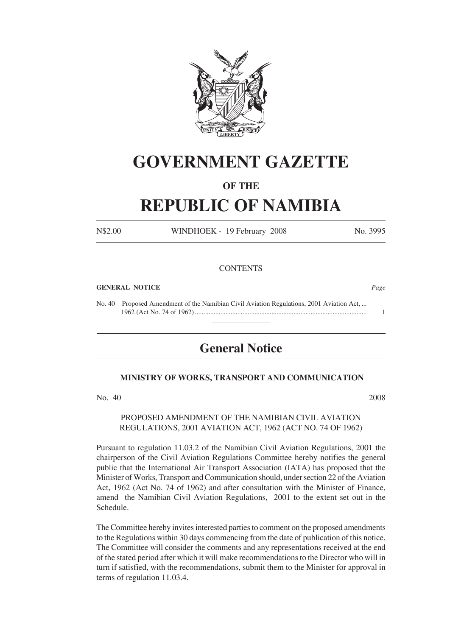

# **GOVERNMENT GAZETTE**

### **OF THE**

## **REPUBLIC OF NAMIBIA**

N\$2.00 WINDHOEK - 19 February 2008 No. 3995

#### **CONTENTS**

#### **GENERAL NOTICE** *Page*

No. 40 Proposed Amendment of the Namibian Civil Aviation Regulations, 2001 Aviation Act, ... 1962 (Act No. 74 of 1962) ..................................................................................................... 1 \_\_\_\_\_\_\_\_\_\_\_\_\_\_\_\_\_

### **General Notice**

#### **MINISTRY OF WORKS, TRANSPORT AND COMMUNICATION**

No. 40 2008

#### PROPOSED AMENDMENT OF THE NAMIBIAN CIVIL AVIATION REGULATIONS, 2001 AVIATION ACT, 1962 (ACT NO. 74 OF 1962)

Pursuant to regulation 11.03.2 of the Namibian Civil Aviation Regulations, 2001 the chairperson of the Civil Aviation Regulations Committee hereby notifies the general public that the International Air Transport Association (IATA) has proposed that the Minister of Works, Transport and Communication should, under section 22 of the Aviation Act, 1962 (Act No. 74 of 1962) and after consultation with the Minister of Finance, amend the Namibian Civil Aviation Regulations, 2001 to the extent set out in the Schedule.

The Committee hereby invites interested parties to comment on the proposed amendments to the Regulations within 30 days commencing from the date of publication of this notice. The Committee will consider the comments and any representations received at the end of the stated period after which it will make recommendations to the Director who will in turn if satisfied, with the recommendations, submit them to the Minister for approval in terms of regulation 11.03.4.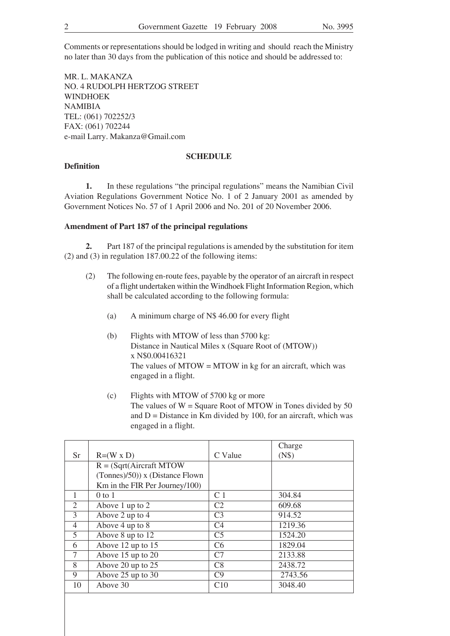Comments or representations should be lodged in writing and should reach the Ministry no later than 30 days from the publication of this notice and should be addressed to:

MR. L. MAKANZA NO. 4 RUDOLPH HERTZOG STREET **WINDHOEK** NAMIBIA TEL: (061) 702252/3 FAX: (061) 702244 e-mail Larry. Makanza@Gmail.com

#### **SCHEDULE**

#### **Definition**

**1.** In these regulations "the principal regulations" means the Namibian Civil Aviation Regulations Government Notice No. 1 of 2 January 2001 as amended by Government Notices No. 57 of 1 April 2006 and No. 201 of 20 November 2006.

#### **Amendment of Part 187 of the principal regulations**

**2.** Part 187 of the principal regulations is amended by the substitution for item (2) and (3) in regulation 187.00.22 of the following items:

- (2) The following en-route fees, payable by the operator of an aircraft in respect of a flight undertaken within the Windhoek Flight Information Region, which shall be calculated according to the following formula:
	- (a) A minimum charge of N\$ 46.00 for every flight
	- (b) Flights with MTOW of less than 5700 kg: Distance in Nautical Miles x (Square Root of (MTOW)) x N\$0.00416321 The values of  $MTOW = MTOW$  in kg for an aircraft, which was engaged in a flight.
	- (c) Flights with MTOW of 5700 kg or more The values of  $W =$  Square Root of MTOW in Tones divided by 50 and  $D =$  Distance in Km divided by 100, for an aircraft, which was engaged in a flight.

|                |                                    |                | Charge  |
|----------------|------------------------------------|----------------|---------|
| Sr             | $R=(W \times D)$                   | C Value        | (N\$)   |
|                | $R = (Sqrt(Aircraft MTOW))$        |                |         |
|                | $(Tonnes)/50)$ ) x (Distance Flown |                |         |
|                | Km in the FIR Per Journey/100)     |                |         |
| 1              | $0$ to $1$                         | C <sub>1</sub> | 304.84  |
| $\overline{2}$ | Above 1 up to 2                    | C <sub>2</sub> | 609.68  |
| 3              | Above 2 up to 4                    | C <sub>3</sub> | 914.52  |
| $\overline{4}$ | Above 4 up to 8                    | C <sub>4</sub> | 1219.36 |
| 5              | Above 8 up to 12                   | C <sub>5</sub> | 1524.20 |
| 6              | Above 12 up to 15                  | C6             | 1829.04 |
| 7              | Above 15 up to 20                  | C7             | 2133.88 |
| 8              | Above 20 up to $\overline{25}$     | C8             | 2438.72 |
| 9              | Above 25 up to 30                  | C <sub>9</sub> | 2743.56 |
| 10             | Above 30                           | C10            | 3048.40 |